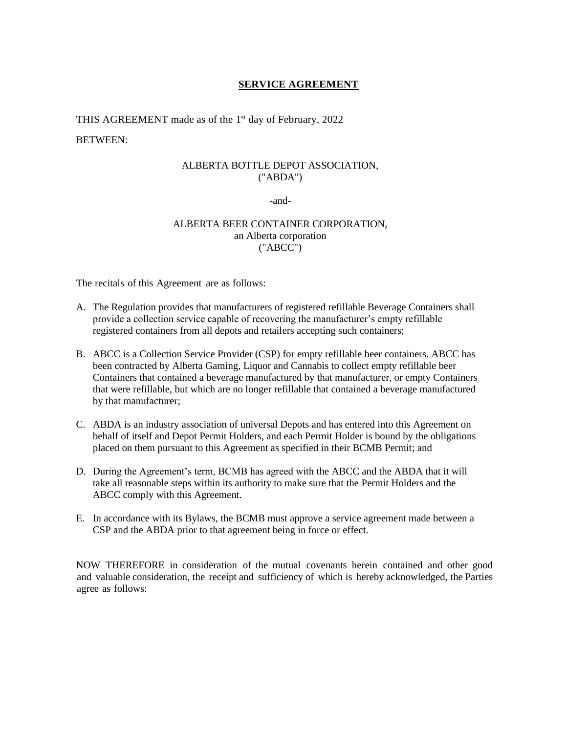## **SERVICE AGREEMENT**

THIS AGREEMENT made as of the 1<sup>st</sup> day of February, 2022

#### BETWEEN:

#### ALBERTA BOTTLE DEPOT ASSOCIATION, ("ABDA")

-and-

### ALBERTA BEER CONTAINER CORPORATION, an Alberta corporation ("ABCC")

The recitals of this Agreement are as follows:

- A. The Regulation provides that manufacturers of registered refillable Beverage Containers shall provide a collection service capable of recovering the manufacturer's empty refillable registered containers from all depots and retailers accepting such containers;
- B. ABCC is a Collection Service Provider (CSP) for empty refillable beer containers. ABCC has been contracted by Alberta Gaming, Liquor and Cannabis to collect empty refillable beer Containers that contained a beverage manufactured by that manufacturer, or empty Containers that were refillable, but which are no longer refillable that contained a beverage manufactured by that manufacturer;
- C. ABDA is an industry association of universal Depots and has entered into this Agreement on behalf of itself and Depot Permit Holders, and each Permit Holder is bound by the obligations placed on them pursuant to this Agreement as specified in their BCMB Permit; and
- D. During the Agreement's term, BCMB has agreed with the ABCC and the ABDA that it will take all reasonable steps within its authority to make sure that the Permit Holders and the ABCC comply with this Agreement.
- E. In accordance with its Bylaws, the BCMB must approve a service agreement made between a CSP and the ABDA prior to that agreement being in force or effect.

NOW THEREFORE in consideration of the mutual covenants herein contained and other good and valuable consideration, the receipt and sufficiency of which is hereby acknowledged, the Parties agree as follows: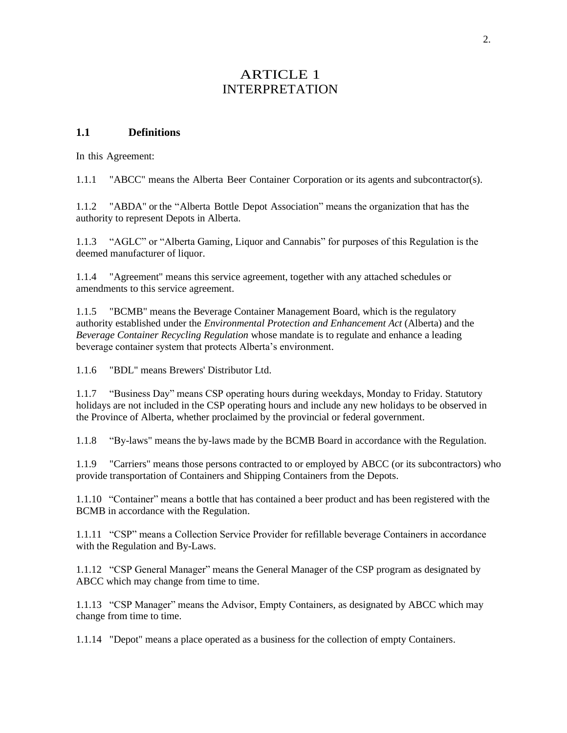# ARTICLE 1 INTERPRETATION

### **1.1 Definitions**

In this Agreement:

1.1.1 "ABCC" means the Alberta Beer Container Corporation or its agents and subcontractor(s).

1.1.2 "ABDA" or the "Alberta Bottle Depot Association" means the organization that has the authority to represent Depots in Alberta.

1.1.3 "AGLC" or "Alberta Gaming, Liquor and Cannabis" for purposes of this Regulation is the deemed manufacturer of liquor.

1.1.4 "Agreement" means this service agreement, together with any attached schedules or amendments to this service agreement.

1.1.5 "BCMB" means the Beverage Container Management Board, which is the regulatory authority established under the *Environmental Protection and Enhancement Act* (Alberta) and the *Beverage Container Recycling Regulation* whose mandate is to regulate and enhance a leading beverage container system that protects Alberta's environment.

1.1.6 "BDL" means Brewers' Distributor Ltd.

1.1.7 "Business Day" means CSP operating hours during weekdays, Monday to Friday. Statutory holidays are not included in the CSP operating hours and include any new holidays to be observed in the Province of Alberta, whether proclaimed by the provincial or federal government.

1.1.8 "By-laws" means the by-laws made by the BCMB Board in accordance with the Regulation.

1.1.9 "Carriers" means those persons contracted to or employed by ABCC (or its subcontractors) who provide transportation of Containers and Shipping Containers from the Depots.

1.1.10 "Container" means a bottle that has contained a beer product and has been registered with the BCMB in accordance with the Regulation.

1.1.11 "CSP" means a Collection Service Provider for refillable beverage Containers in accordance with the Regulation and By-Laws.

1.1.12 "CSP General Manager" means the General Manager of the CSP program as designated by ABCC which may change from time to time.

1.1.13 "CSP Manager" means the Advisor, Empty Containers, as designated by ABCC which may change from time to time.

1.1.14 "Depot" means a place operated as a business for the collection of empty Containers.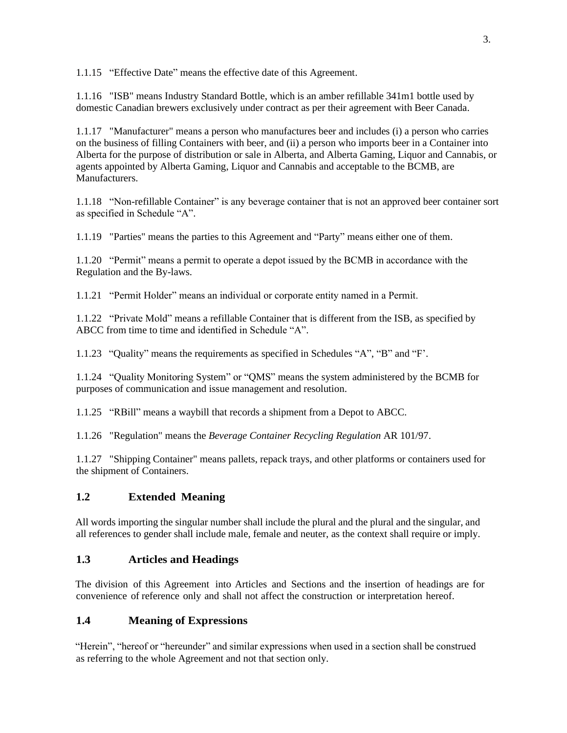1.1.15 "Effective Date" means the effective date of this Agreement.

1.1.16 "ISB" means Industry Standard Bottle, which is an amber refillable 341m1 bottle used by domestic Canadian brewers exclusively under contract as per their agreement with Beer Canada.

1.1.17 "Manufacturer" means a person who manufactures beer and includes (i) a person who carries on the business of filling Containers with beer, and (ii) a person who imports beer in a Container into Alberta for the purpose of distribution or sale in Alberta, and Alberta Gaming, Liquor and Cannabis, or agents appointed by Alberta Gaming, Liquor and Cannabis and acceptable to the BCMB, are Manufacturers.

1.1.18 "Non-refillable Container" is any beverage container that is not an approved beer container sort as specified in Schedule "A".

1.1.19 "Parties" means the parties to this Agreement and "Party" means either one of them.

1.1.20 "Permit" means a permit to operate a depot issued by the BCMB in accordance with the Regulation and the By-laws.

1.1.21 "Permit Holder" means an individual or corporate entity named in a Permit.

1.1.22 "Private Mold" means a refillable Container that is different from the ISB, as specified by ABCC from time to time and identified in Schedule "A".

1.1.23 "Quality" means the requirements as specified in Schedules "A", "B" and "F'.

1.1.24 "Quality Monitoring System" or "QMS" means the system administered by the BCMB for purposes of communication and issue management and resolution.

1.1.25 "RBill" means a waybill that records a shipment from a Depot to ABCC.

1.1.26 "Regulation" means the *Beverage Container Recycling Regulation* AR 101/97.

1.1.27 "Shipping Container" means pallets, repack trays, and other platforms or containers used for the shipment of Containers.

# **1.2 Extended Meaning**

All words importing the singular number shall include the plural and the plural and the singular, and all references to gender shall include male, female and neuter, as the context shall require or imply.

# **1.3 Articles and Headings**

The division of this Agreement into Articles and Sections and the insertion of headings are for convenience of reference only and shall not affect the construction or interpretation hereof.

# **1.4 Meaning of Expressions**

"Herein", "hereof or "hereunder" and similar expressions when used in a section shall be construed as referring to the whole Agreement and not that section only.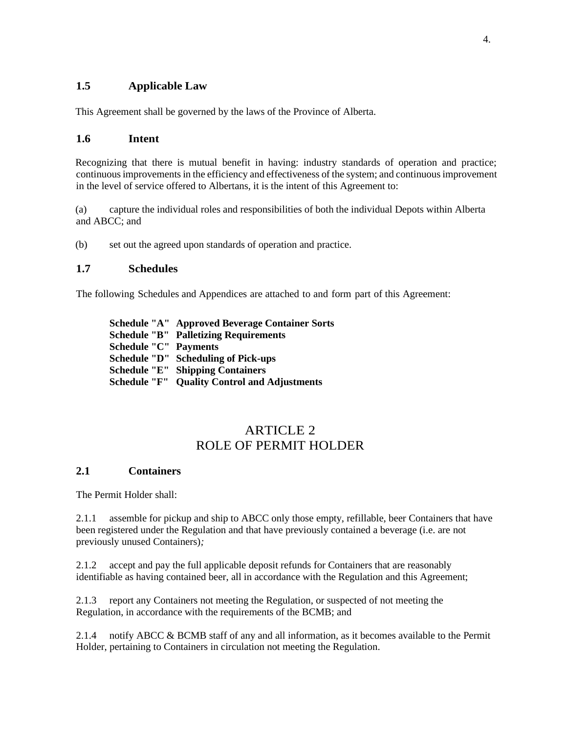# **1.5 Applicable Law**

This Agreement shall be governed by the laws of the Province of Alberta.

### **1.6 Intent**

Recognizing that there is mutual benefit in having: industry standards of operation and practice; continuous improvements in the efficiency and effectiveness of the system; and continuous improvement in the level of service offered to Albertans, it is the intent of this Agreement to:

(a) capture the individual roles and responsibilities of both the individual Depots within Alberta and ABCC; and

(b) set out the agreed upon standards of operation and practice.

### **1.7 Schedules**

The following Schedules and Appendices are attached to and form part of this Agreement:

**Schedule "A" Approved Beverage Container Sorts Schedule "B" Palletizing Requirements Schedule "C" Payments Schedule "D" Scheduling of Pick-ups Schedule "E" Shipping Containers Schedule "F" Quality Control and Adjustments**

# ARTICLE<sub>2</sub> ROLE OF PERMIT HOLDER

### **2.1 Containers**

The Permit Holder shall:

2.1.1 assemble for pickup and ship to ABCC only those empty, refillable, beer Containers that have been registered under the Regulation and that have previously contained a beverage (i.e. are not previously unused Containers)*;*

2.1.2 accept and pay the full applicable deposit refunds for Containers that are reasonably identifiable as having contained beer, all in accordance with the Regulation and this Agreement;

2.1.3 report any Containers not meeting the Regulation, or suspected of not meeting the Regulation, in accordance with the requirements of the BCMB; and

2.1.4 notify ABCC & BCMB staff of any and all information, as it becomes available to the Permit Holder, pertaining to Containers in circulation not meeting the Regulation.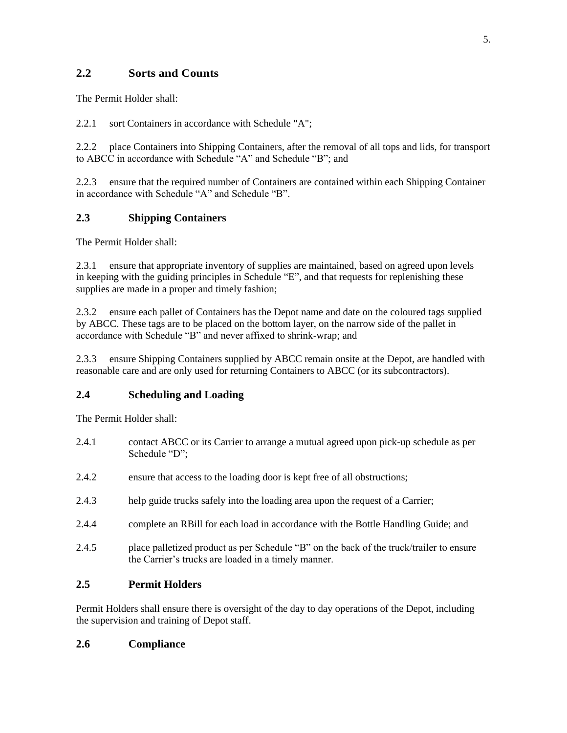# **2.2 Sorts and Counts**

The Permit Holder shall:

2.2.1 sort Containers in accordance with Schedule "A";

2.2.2 place Containers into Shipping Containers, after the removal of all tops and lids, for transport to ABCC in accordance with Schedule "A" and Schedule "B"; and

2.2.3 ensure that the required number of Containers are contained within each Shipping Container in accordance with Schedule "A" and Schedule "B".

# **2.3 Shipping Containers**

The Permit Holder shall:

2.3.1 ensure that appropriate inventory of supplies are maintained, based on agreed upon levels in keeping with the guiding principles in Schedule "E", and that requests for replenishing these supplies are made in a proper and timely fashion;

2.3.2 ensure each pallet of Containers has the Depot name and date on the coloured tags supplied by ABCC. These tags are to be placed on the bottom layer, on the narrow side of the pallet in accordance with Schedule "B" and never affixed to shrink-wrap; and

2.3.3 ensure Shipping Containers supplied by ABCC remain onsite at the Depot, are handled with reasonable care and are only used for returning Containers to ABCC (or its subcontractors).

# **2.4 Scheduling and Loading**

The Permit Holder shall:

- 2.4.1 contact ABCC or its Carrier to arrange a mutual agreed upon pick-up schedule as per Schedule "D";
- 2.4.2 ensure that access to the loading door is kept free of all obstructions;
- 2.4.3 help guide trucks safely into the loading area upon the request of a Carrier;
- 2.4.4 complete an RBill for each load in accordance with the Bottle Handling Guide; and
- 2.4.5 place palletized product as per Schedule "B" on the back of the truck/trailer to ensure the Carrier's trucks are loaded in a timely manner.

## **2.5 Permit Holders**

Permit Holders shall ensure there is oversight of the day to day operations of the Depot, including the supervision and training of Depot staff.

## **2.6 Compliance**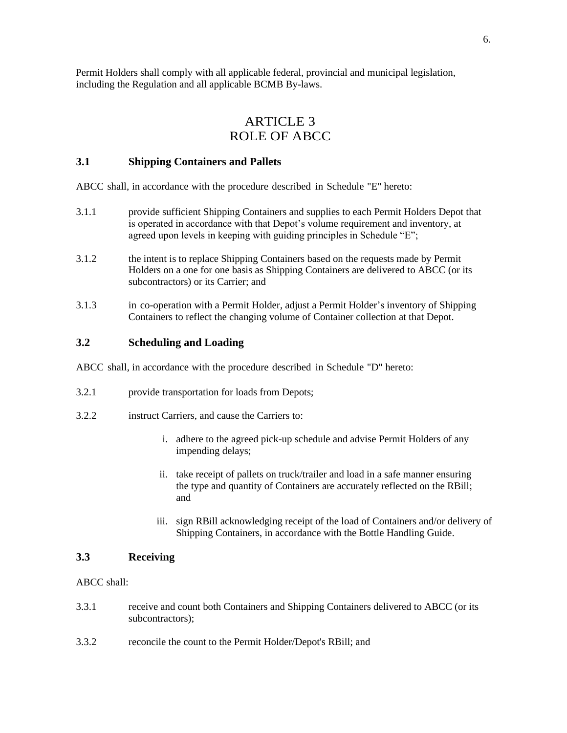Permit Holders shall comply with all applicable federal, provincial and municipal legislation, including the Regulation and all applicable BCMB By-laws.

# ARTICLE 3 ROLE OF ABCC

#### **3.1 Shipping Containers and Pallets**

ABCC shall, in accordance with the procedure described in Schedule "E" hereto:

- 3.1.1 provide sufficient Shipping Containers and supplies to each Permit Holders Depot that is operated in accordance with that Depot's volume requirement and inventory, at agreed upon levels in keeping with guiding principles in Schedule "E";
- 3.1.2 the intent is to replace Shipping Containers based on the requests made by Permit Holders on a one for one basis as Shipping Containers are delivered to ABCC (or its subcontractors) or its Carrier; and
- 3.1.3 in co-operation with a Permit Holder, adjust a Permit Holder's inventory of Shipping Containers to reflect the changing volume of Container collection at that Depot.

### **3.2 Scheduling and Loading**

ABCC shall, in accordance with the procedure described in Schedule "D" hereto:

- 3.2.1 provide transportation for loads from Depots;
- 3.2.2 instruct Carriers, and cause the Carriers to:
	- i. adhere to the agreed pick-up schedule and advise Permit Holders of any impending delays;
	- ii. take receipt of pallets on truck/trailer and load in a safe manner ensuring the type and quantity of Containers are accurately reflected on the RBill; and
	- iii. sign RBill acknowledging receipt of the load of Containers and/or delivery of Shipping Containers, in accordance with the Bottle Handling Guide.

## **3.3 Receiving**

ABCC shall:

- 3.3.1 receive and count both Containers and Shipping Containers delivered to ABCC (or its subcontractors);
- 3.3.2 reconcile the count to the Permit Holder/Depot's RBill; and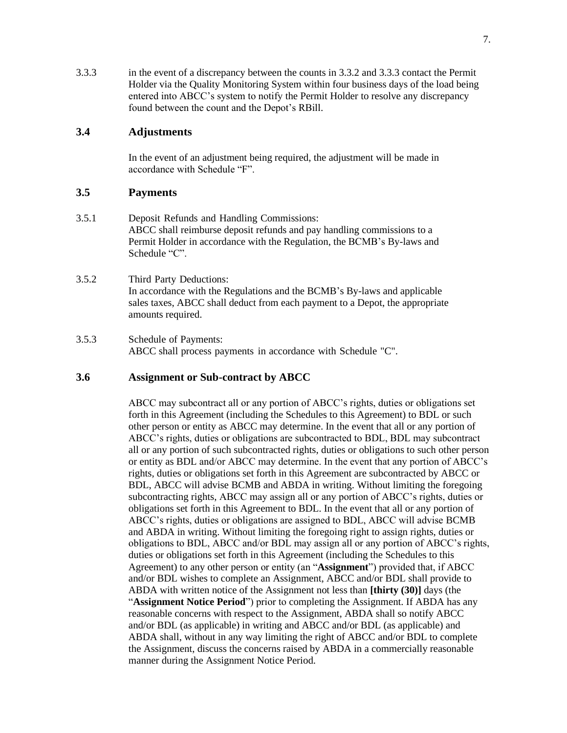3.3.3 in the event of a discrepancy between the counts in 3.3.2 and 3.3.3 contact the Permit Holder via the Quality Monitoring System within four business days of the load being entered into ABCC's system to notify the Permit Holder to resolve any discrepancy found between the count and the Depot's RBill.

### **3.4 Adjustments**

In the event of an adjustment being required, the adjustment will be made in accordance with Schedule "F".

#### **3.5 Payments**

- 3.5.1 Deposit Refunds and Handling Commissions: ABCC shall reimburse deposit refunds and pay handling commissions to a Permit Holder in accordance with the Regulation, the BCMB's By-laws and Schedule "C".
- 3.5.2 Third Party Deductions: In accordance with the Regulations and the BCMB's By-laws and applicable sales taxes, ABCC shall deduct from each payment to a Depot, the appropriate amounts required.
- 3.5.3 Schedule of Payments: ABCC shall process payments in accordance with Schedule "C".

## **3.6 Assignment or Sub-contract by ABCC**

ABCC may subcontract all or any portion of ABCC's rights, duties or obligations set forth in this Agreement (including the Schedules to this Agreement) to BDL or such other person or entity as ABCC may determine. In the event that all or any portion of ABCC's rights, duties or obligations are subcontracted to BDL, BDL may subcontract all or any portion of such subcontracted rights, duties or obligations to such other person or entity as BDL and/or ABCC may determine. In the event that any portion of ABCC's rights, duties or obligations set forth in this Agreement are subcontracted by ABCC or BDL, ABCC will advise BCMB and ABDA in writing. Without limiting the foregoing subcontracting rights, ABCC may assign all or any portion of ABCC's rights, duties or obligations set forth in this Agreement to BDL. In the event that all or any portion of ABCC's rights, duties or obligations are assigned to BDL, ABCC will advise BCMB and ABDA in writing. Without limiting the foregoing right to assign rights, duties or obligations to BDL, ABCC and/or BDL may assign all or any portion of ABCC's rights, duties or obligations set forth in this Agreement (including the Schedules to this Agreement) to any other person or entity (an "**Assignment**") provided that, if ABCC and/or BDL wishes to complete an Assignment, ABCC and/or BDL shall provide to ABDA with written notice of the Assignment not less than **[thirty (30)]** days (the "**Assignment Notice Period**") prior to completing the Assignment. If ABDA has any reasonable concerns with respect to the Assignment, ABDA shall so notify ABCC and/or BDL (as applicable) in writing and ABCC and/or BDL (as applicable) and ABDA shall, without in any way limiting the right of ABCC and/or BDL to complete the Assignment, discuss the concerns raised by ABDA in a commercially reasonable manner during the Assignment Notice Period.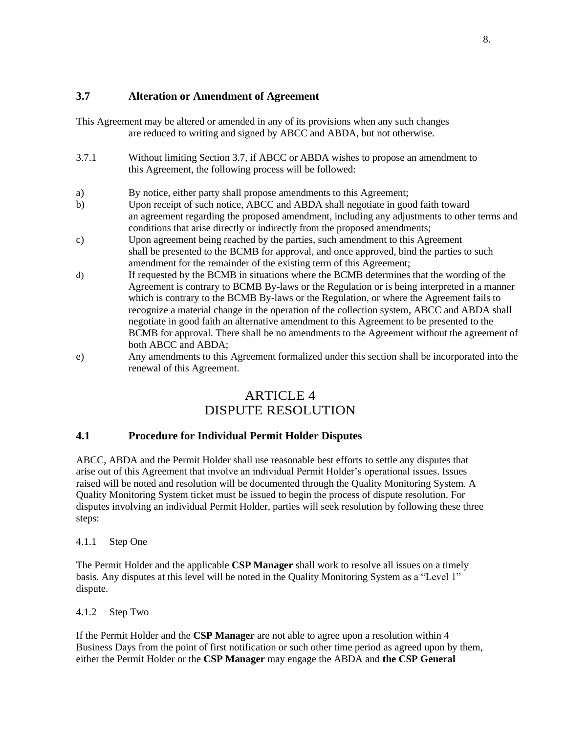## **3.7 Alteration or Amendment of Agreement**

This Agreement may be altered or amended in any of its provisions when any such changes are reduced to writing and signed by ABCC and ABDA, but not otherwise.

- 3.7.1 Without limiting Section 3.7, if ABCC or ABDA wishes to propose an amendment to this Agreement, the following process will be followed:
- a) By notice, either party shall propose amendments to this Agreement;
- b) Upon receipt of such notice, ABCC and ABDA shall negotiate in good faith toward an agreement regarding the proposed amendment, including any adjustments to other terms and conditions that arise directly or indirectly from the proposed amendments;
- c) Upon agreement being reached by the parties, such amendment to this Agreement shall be presented to the BCMB for approval, and once approved, bind the parties to such amendment for the remainder of the existing term of this Agreement;
- d) If requested by the BCMB in situations where the BCMB determines that the wording of the Agreement is contrary to BCMB By-laws or the Regulation or is being interpreted in a manner which is contrary to the BCMB By-laws or the Regulation, or where the Agreement fails to recognize a material change in the operation of the collection system, ABCC and ABDA shall negotiate in good faith an alternative amendment to this Agreement to be presented to the BCMB for approval. There shall be no amendments to the Agreement without the agreement of both ABCC and ABDA;
- e) Any amendments to this Agreement formalized under this section shall be incorporated into the renewal of this Agreement.

# ARTICLE 4 DISPUTE RESOLUTION

### **4.1 Procedure for Individual Permit Holder Disputes**

ABCC, ABDA and the Permit Holder shall use reasonable best efforts to settle any disputes that arise out of this Agreement that involve an individual Permit Holder's operational issues. Issues raised will be noted and resolution will be documented through the Quality Monitoring System. A Quality Monitoring System ticket must be issued to begin the process of dispute resolution. For disputes involving an individual Permit Holder, parties will seek resolution by following these three steps:

### 4.1.1 Step One

The Permit Holder and the applicable **CSP Manager** shall work to resolve all issues on a timely basis. Any disputes at this level will be noted in the Quality Monitoring System as a "Level 1" dispute.

### 4.1.2 Step Two

If the Permit Holder and the **CSP Manager** are not able to agree upon a resolution within 4 Business Days from the point of first notification or such other time period as agreed upon by them, either the Permit Holder or the **CSP Manager** may engage the ABDA and **the CSP General**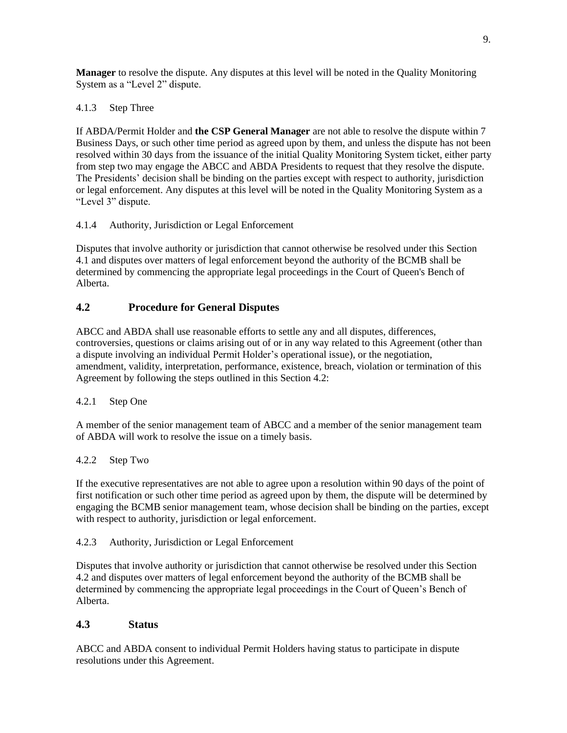**Manager** to resolve the dispute. Any disputes at this level will be noted in the Quality Monitoring System as a "Level 2" dispute.

### 4.1.3 Step Three

If ABDA/Permit Holder and **the CSP General Manager** are not able to resolve the dispute within 7 Business Days, or such other time period as agreed upon by them, and unless the dispute has not been resolved within 30 days from the issuance of the initial Quality Monitoring System ticket, either party from step two may engage the ABCC and ABDA Presidents to request that they resolve the dispute. The Presidents' decision shall be binding on the parties except with respect to authority, jurisdiction or legal enforcement. Any disputes at this level will be noted in the Quality Monitoring System as a "Level 3" dispute.

### 4.1.4 Authority, Jurisdiction or Legal Enforcement

Disputes that involve authority or jurisdiction that cannot otherwise be resolved under this Section 4.1 and disputes over matters of legal enforcement beyond the authority of the BCMB shall be determined by commencing the appropriate legal proceedings in the Court of Queen's Bench of Alberta.

## **4.2 Procedure for General Disputes**

ABCC and ABDA shall use reasonable efforts to settle any and all disputes, differences, controversies, questions or claims arising out of or in any way related to this Agreement (other than a dispute involving an individual Permit Holder's operational issue), or the negotiation, amendment, validity, interpretation, performance, existence, breach, violation or termination of this Agreement by following the steps outlined in this Section 4.2:

### 4.2.1 Step One

A member of the senior management team of ABCC and a member of the senior management team of ABDA will work to resolve the issue on a timely basis.

### 4.2.2 Step Two

If the executive representatives are not able to agree upon a resolution within 90 days of the point of first notification or such other time period as agreed upon by them, the dispute will be determined by engaging the BCMB senior management team, whose decision shall be binding on the parties, except with respect to authority, jurisdiction or legal enforcement.

### 4.2.3 Authority, Jurisdiction or Legal Enforcement

Disputes that involve authority or jurisdiction that cannot otherwise be resolved under this Section 4.2 and disputes over matters of legal enforcement beyond the authority of the BCMB shall be determined by commencing the appropriate legal proceedings in the Court of Queen's Bench of Alberta.

### **4.3 Status**

ABCC and ABDA consent to individual Permit Holders having status to participate in dispute resolutions under this Agreement.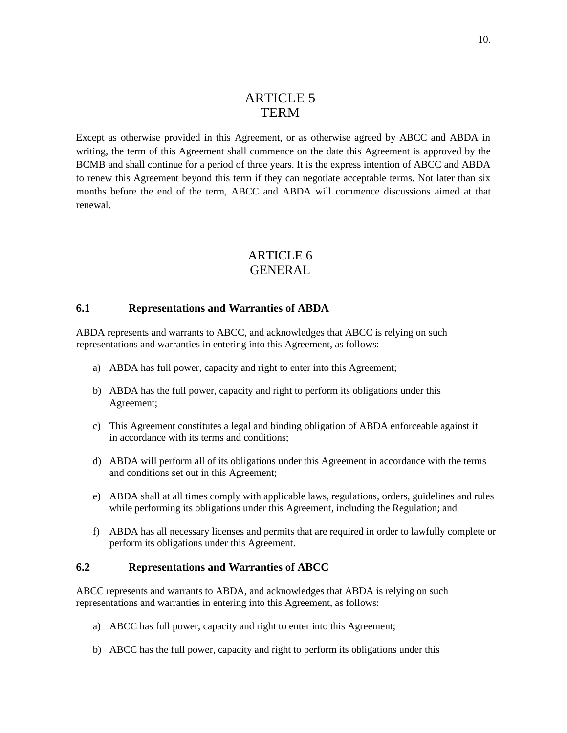# ARTICLE 5 TERM

Except as otherwise provided in this Agreement, or as otherwise agreed by ABCC and ABDA in writing, the term of this Agreement shall commence on the date this Agreement is approved by the BCMB and shall continue for a period of three years. It is the express intention of ABCC and ABDA to renew this Agreement beyond this term if they can negotiate acceptable terms. Not later than six months before the end of the term, ABCC and ABDA will commence discussions aimed at that renewal.

# ARTICLE 6 GENERAL

#### **6.1 Representations and Warranties of ABDA**

ABDA represents and warrants to ABCC, and acknowledges that ABCC is relying on such representations and warranties in entering into this Agreement, as follows:

- a) ABDA has full power, capacity and right to enter into this Agreement;
- b) ABDA has the full power, capacity and right to perform its obligations under this Agreement;
- c) This Agreement constitutes a legal and binding obligation of ABDA enforceable against it in accordance with its terms and conditions;
- d) ABDA will perform all of its obligations under this Agreement in accordance with the terms and conditions set out in this Agreement;
- e) ABDA shall at all times comply with applicable laws, regulations, orders, guidelines and rules while performing its obligations under this Agreement, including the Regulation; and
- f) ABDA has all necessary licenses and permits that are required in order to lawfully complete or perform its obligations under this Agreement.

### **6.2 Representations and Warranties of ABCC**

ABCC represents and warrants to ABDA, and acknowledges that ABDA is relying on such representations and warranties in entering into this Agreement, as follows:

- a) ABCC has full power, capacity and right to enter into this Agreement;
- b) ABCC has the full power, capacity and right to perform its obligations under this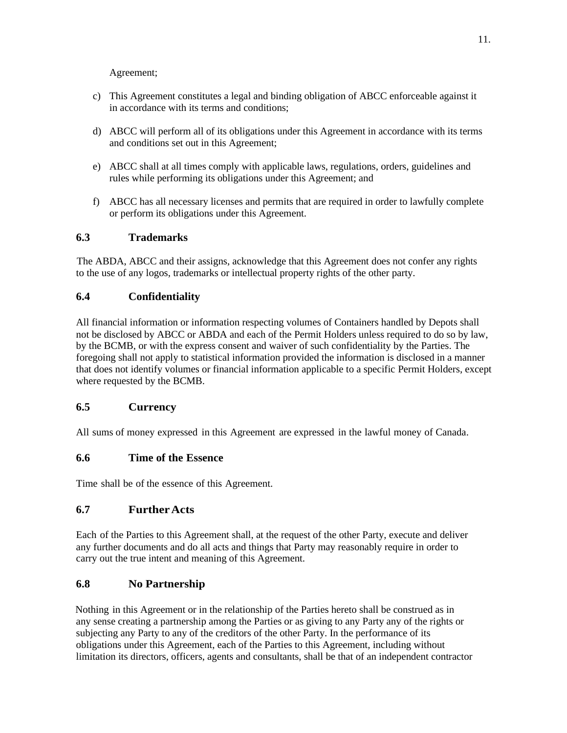Agreement;

- c) This Agreement constitutes a legal and binding obligation of ABCC enforceable against it in accordance with its terms and conditions;
- d) ABCC will perform all of its obligations under this Agreement in accordance with its terms and conditions set out in this Agreement;
- e) ABCC shall at all times comply with applicable laws, regulations, orders, guidelines and rules while performing its obligations under this Agreement; and
- f) ABCC has all necessary licenses and permits that are required in order to lawfully complete or perform its obligations under this Agreement.

## **6.3 Trademarks**

The ABDA, ABCC and their assigns, acknowledge that this Agreement does not confer any rights to the use of any logos, trademarks or intellectual property rights of the other party.

## **6.4 Confidentiality**

All financial information or information respecting volumes of Containers handled by Depots shall not be disclosed by ABCC or ABDA and each of the Permit Holders unless required to do so by law, by the BCMB, or with the express consent and waiver of such confidentiality by the Parties. The foregoing shall not apply to statistical information provided the information is disclosed in a manner that does not identify volumes or financial information applicable to a specific Permit Holders, except where requested by the BCMB.

## **6.5 Currency**

All sums of money expressed in this Agreement are expressed in the lawful money of Canada.

## **6.6 Time of the Essence**

Time shall be of the essence of this Agreement.

## **6.7 FurtherActs**

Each of the Parties to this Agreement shall, at the request of the other Party, execute and deliver any further documents and do all acts and things that Party may reasonably require in order to carry out the true intent and meaning of this Agreement.

## **6.8 No Partnership**

Nothing in this Agreement or in the relationship of the Parties hereto shall be construed as in any sense creating a partnership among the Parties or as giving to any Party any of the rights or subjecting any Party to any of the creditors of the other Party. In the performance of its obligations under this Agreement, each of the Parties to this Agreement, including without limitation its directors, officers, agents and consultants, shall be that of an independent contractor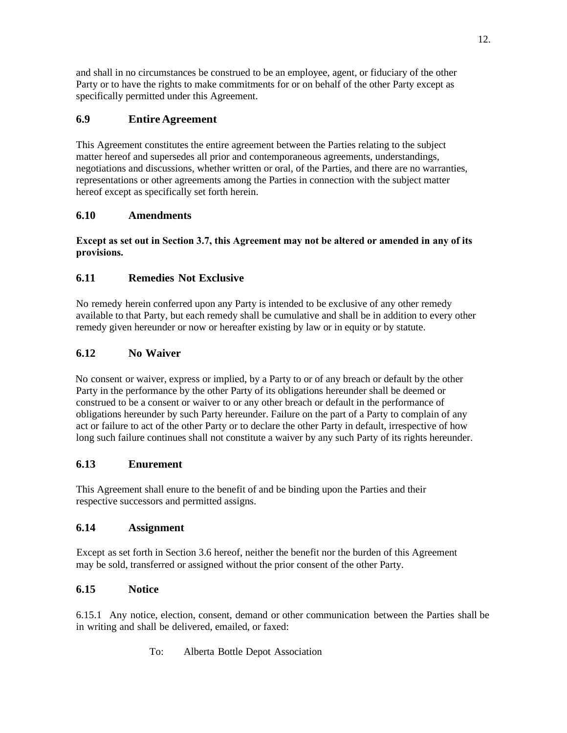and shall in no circumstances be construed to be an employee, agent, or fiduciary of the other Party or to have the rights to make commitments for or on behalf of the other Party except as specifically permitted under this Agreement.

# **6.9 Entire Agreement**

This Agreement constitutes the entire agreement between the Parties relating to the subject matter hereof and supersedes all prior and contemporaneous agreements, understandings, negotiations and discussions, whether written or oral, of the Parties, and there are no warranties, representations or other agreements among the Parties in connection with the subject matter hereof except as specifically set forth herein.

# **6.10 Amendments**

### **Except as set out in Section 3.7, this Agreement may not be altered or amended in any of its provisions.**

# **6.11 Remedies Not Exclusive**

No remedy herein conferred upon any Party is intended to be exclusive of any other remedy available to that Party, but each remedy shall be cumulative and shall be in addition to every other remedy given hereunder or now or hereafter existing by law or in equity or by statute.

# **6.12 No Waiver**

No consent or waiver, express or implied, by a Party to or of any breach or default by the other Party in the performance by the other Party of its obligations hereunder shall be deemed or construed to be a consent or waiver to or any other breach or default in the performance of obligations hereunder by such Party hereunder. Failure on the part of a Party to complain of any act or failure to act of the other Party or to declare the other Party in default, irrespective of how long such failure continues shall not constitute a waiver by any such Party of its rights hereunder.

# **6.13 Enurement**

This Agreement shall enure to the benefit of and be binding upon the Parties and their respective successors and permitted assigns.

# **6.14 Assignment**

Except as set forth in Section 3.6 hereof, neither the benefit nor the burden of this Agreement may be sold, transferred or assigned without the prior consent of the other Party.

# **6.15 Notice**

6.15.1 Any notice, election, consent, demand or other communication between the Parties shall be in writing and shall be delivered, emailed, or faxed:

To: Alberta Bottle Depot Association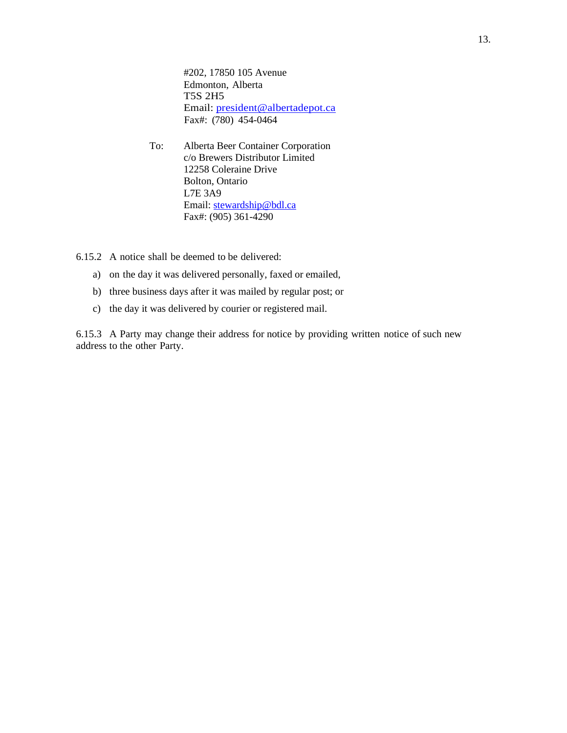#202, 17850 105 Avenue Edmonton, Alberta T5S 2H5 Email: [president@albertadepot.ca](file://///TORHOME01.LAW.FIRM/HOMEDIR/TURCOJ/Desktop/president@albertadepot.ca) Fax#: (780) 454-0464

To: Alberta Beer Container Corporation c/o Brewers Distributor Limited 12258 Coleraine Drive Bolton, Ontario L7E 3A9 Email: [stewardship@bdl.ca](mailto:stewardship@bdl.ca) Fax#: (905) 361-4290

6.15.2 A notice shall be deemed to be delivered:

- a) on the day it was delivered personally, faxed or emailed,
- b) three business days after it was mailed by regular post; or
- c) the day it was delivered by courier or registered mail.

6.15.3 A Party may change their address for notice by providing written notice of such new address to the other Party.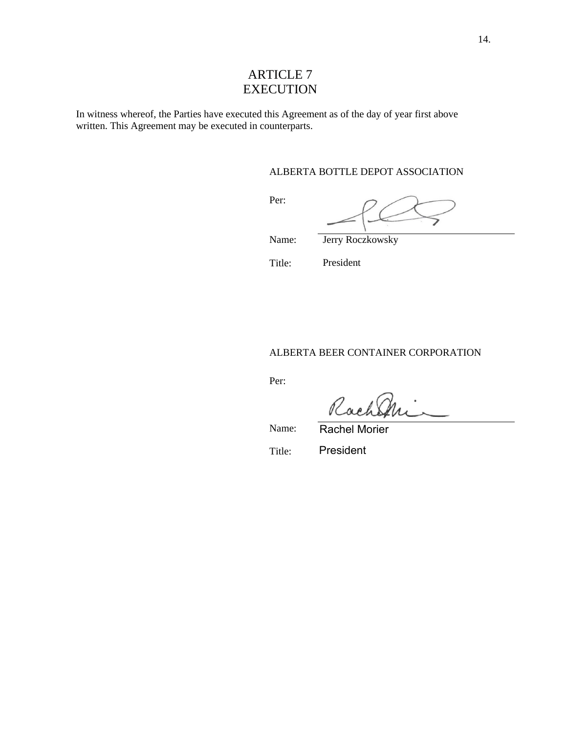# ARTICLE 7 **EXECUTION**

In witness whereof, the Parties have executed this Agreement as of the day of year first above written. This Agreement may be executed in counterparts.

#### ALBERTA BOTTLE DEPOT ASSOCIATION

Per:

Jerry Roczkowsky

Name:

Title:

President

ALBERTA BEER CONTAINER CORPORATION

Per:

Rach

Name: Rachel Morier

Title: President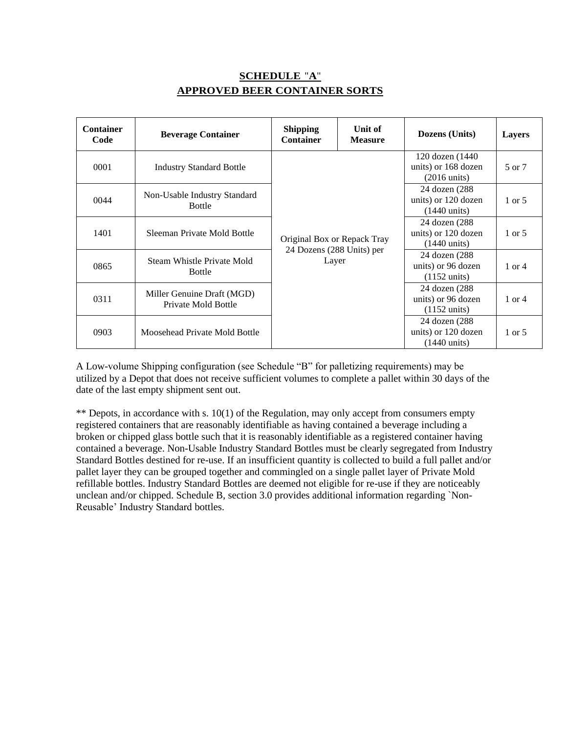# **SCHEDULE** "**A**" **APPROVED BEER CONTAINER SORTS**

| <b>Container</b><br>Code | <b>Beverage Container</b>                         | <b>Shipping</b><br><b>Container</b> | Unit of<br><b>Measure</b>                                      | Dozens (Units)                                                    | Layers            |
|--------------------------|---------------------------------------------------|-------------------------------------|----------------------------------------------------------------|-------------------------------------------------------------------|-------------------|
| 0001                     | <b>Industry Standard Bottle</b>                   | Original Box or Repack Tray         |                                                                | 120 dozen (1440)<br>units) or 168 dozen<br>$(2016 \text{ units})$ | 5 or 7            |
| 0044                     | Non-Usable Industry Standard<br><b>Bottle</b>     |                                     |                                                                | 24 dozen (288)<br>units) or 120 dozen<br>$(1440 \text{ units})$   | 1 or 5            |
| 1401                     | Sleeman Private Mold Bottle                       |                                     |                                                                | 24 dozen (288)<br>units) or 120 dozen<br>$(1440 \text{ units})$   | $1 \text{ or } 5$ |
| 0865                     | Steam Whistle Private Mold<br><b>Bottle</b>       | 24 Dozens (288 Units) per<br>Layer  | 24 dozen (288)<br>units) or 96 dozen<br>$(1152 \text{ units})$ | $1$ or $4$                                                        |                   |
| 0311                     | Miller Genuine Draft (MGD)<br>Private Mold Bottle |                                     |                                                                | 24 dozen (288)<br>units) or 96 dozen<br>$(1152 \text{ units})$    | 1 or 4            |
| 0903                     | Moosehead Private Mold Bottle                     |                                     |                                                                | 24 dozen (288)<br>units) or 120 dozen<br>$(1440 \text{ units})$   | 1 or 5            |

A Low-volume Shipping configuration (see Schedule "B" for palletizing requirements) may be utilized by a Depot that does not receive sufficient volumes to complete a pallet within 30 days of the date of the last empty shipment sent out.

\*\* Depots, in accordance with s. 10(1) of the Regulation, may only accept from consumers empty registered containers that are reasonably identifiable as having contained a beverage including a broken or chipped glass bottle such that it is reasonably identifiable as a registered container having contained a beverage. Non-Usable Industry Standard Bottles must be clearly segregated from Industry Standard Bottles destined for re-use. If an insufficient quantity is collected to build a full pallet and/or pallet layer they can be grouped together and commingled on a single pallet layer of Private Mold refillable bottles. Industry Standard Bottles are deemed not eligible for re-use if they are noticeably unclean and/or chipped. Schedule B, section 3.0 provides additional information regarding `Non-Reusable' Industry Standard bottles.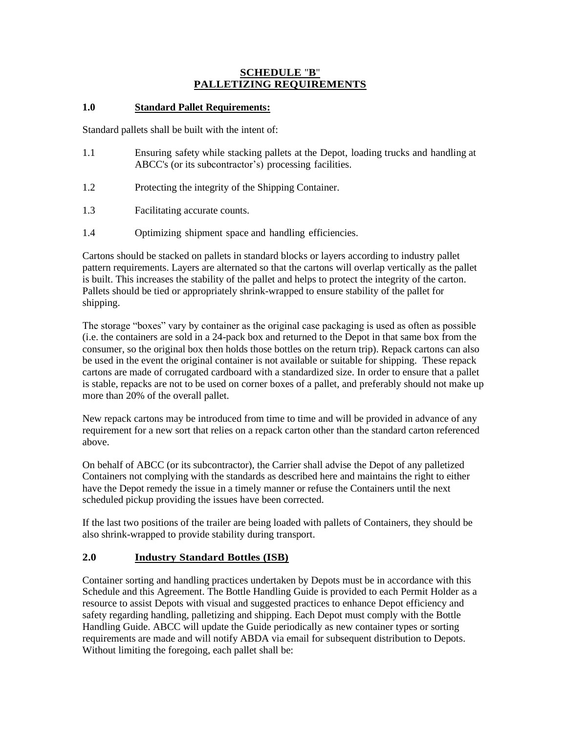### **SCHEDULE** "**B**" **PALLETIZING REQUIREMENTS**

### **1.0 Standard Pallet Requirements:**

Standard pallets shall be built with the intent of:

- 1.1 Ensuring safety while stacking pallets at the Depot, loading trucks and handling at ABCC's (or its subcontractor's) processing facilities.
- 1.2 Protecting the integrity of the Shipping Container.
- 1.3 Facilitating accurate counts.
- 1.4 Optimizing shipment space and handling efficiencies.

Cartons should be stacked on pallets in standard blocks or layers according to industry pallet pattern requirements. Layers are alternated so that the cartons will overlap vertically as the pallet is built. This increases the stability of the pallet and helps to protect the integrity of the carton. Pallets should be tied or appropriately shrink-wrapped to ensure stability of the pallet for shipping.

The storage "boxes" vary by container as the original case packaging is used as often as possible (i.e. the containers are sold in a 24-pack box and returned to the Depot in that same box from the consumer, so the original box then holds those bottles on the return trip). Repack cartons can also be used in the event the original container is not available or suitable for shipping. These repack cartons are made of corrugated cardboard with a standardized size. In order to ensure that a pallet is stable, repacks are not to be used on corner boxes of a pallet, and preferably should not make up more than 20% of the overall pallet.

New repack cartons may be introduced from time to time and will be provided in advance of any requirement for a new sort that relies on a repack carton other than the standard carton referenced above.

On behalf of ABCC (or its subcontractor), the Carrier shall advise the Depot of any palletized Containers not complying with the standards as described here and maintains the right to either have the Depot remedy the issue in a timely manner or refuse the Containers until the next scheduled pickup providing the issues have been corrected.

If the last two positions of the trailer are being loaded with pallets of Containers, they should be also shrink-wrapped to provide stability during transport.

## **2.0 Industry Standard Bottles (ISB)**

Container sorting and handling practices undertaken by Depots must be in accordance with this Schedule and this Agreement. The Bottle Handling Guide is provided to each Permit Holder as a resource to assist Depots with visual and suggested practices to enhance Depot efficiency and safety regarding handling, palletizing and shipping. Each Depot must comply with the Bottle Handling Guide. ABCC will update the Guide periodically as new container types or sorting requirements are made and will notify ABDA via email for subsequent distribution to Depots. Without limiting the foregoing, each pallet shall be: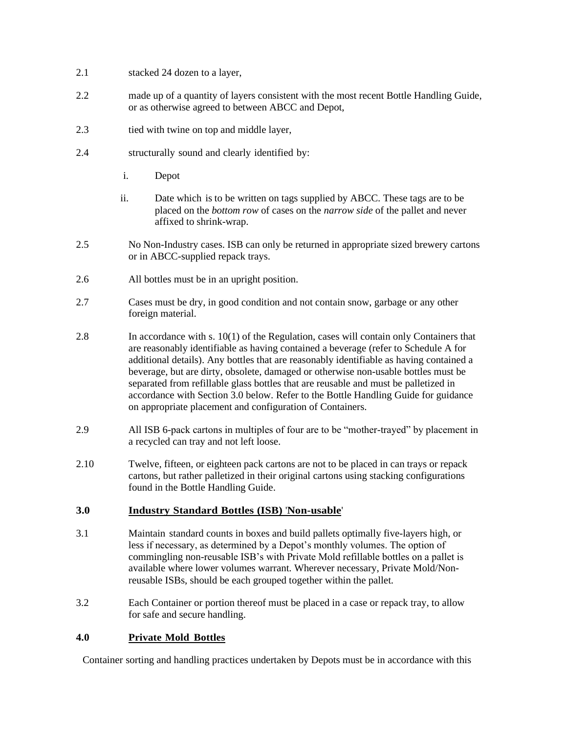- 2.1 stacked 24 dozen to a layer,
- 2.2 made up of a quantity of layers consistent with the most recent Bottle Handling Guide, or as otherwise agreed to between ABCC and Depot,
- 2.3 tied with twine on top and middle layer,
- 2.4 structurally sound and clearly identified by:
	- i. Depot
	- ii. Date which is to be written on tags supplied by ABCC. These tags are to be placed on the *bottom row* of cases on the *narrow side* of the pallet and never affixed to shrink-wrap.
- 2.5 No Non-Industry cases. ISB can only be returned in appropriate sized brewery cartons or in ABCC-supplied repack trays.
- 2.6 All bottles must be in an upright position.
- 2.7 Cases must be dry, in good condition and not contain snow, garbage or any other foreign material.
- 2.8 In accordance with s. 10(1) of the Regulation, cases will contain only Containers that are reasonably identifiable as having contained a beverage (refer to Schedule A for additional details). Any bottles that are reasonably identifiable as having contained a beverage, but are dirty, obsolete, damaged or otherwise non-usable bottles must be separated from refillable glass bottles that are reusable and must be palletized in accordance with Section 3.0 below. Refer to the Bottle Handling Guide for guidance on appropriate placement and configuration of Containers.
- 2.9 All ISB 6-pack cartons in multiples of four are to be "mother-trayed" by placement in a recycled can tray and not left loose.
- 2.10 Twelve, fifteen, or eighteen pack cartons are not to be placed in can trays or repack cartons, but rather palletized in their original cartons using stacking configurations found in the Bottle Handling Guide.

### **3.0 Industry Standard Bottles (ISB)** '**Non-usable**'

- 3.1 Maintain standard counts in boxes and build pallets optimally five-layers high, or less if necessary, as determined by a Depot's monthly volumes. The option of commingling non-reusable ISB's with Private Mold refillable bottles on a pallet is available where lower volumes warrant. Wherever necessary, Private Mold/Nonreusable ISBs, should be each grouped together within the pallet.
- 3.2 Each Container or portion thereof must be placed in a case or repack tray, to allow for safe and secure handling.

### **4.0 Private Mold Bottles**

Container sorting and handling practices undertaken by Depots must be in accordance with this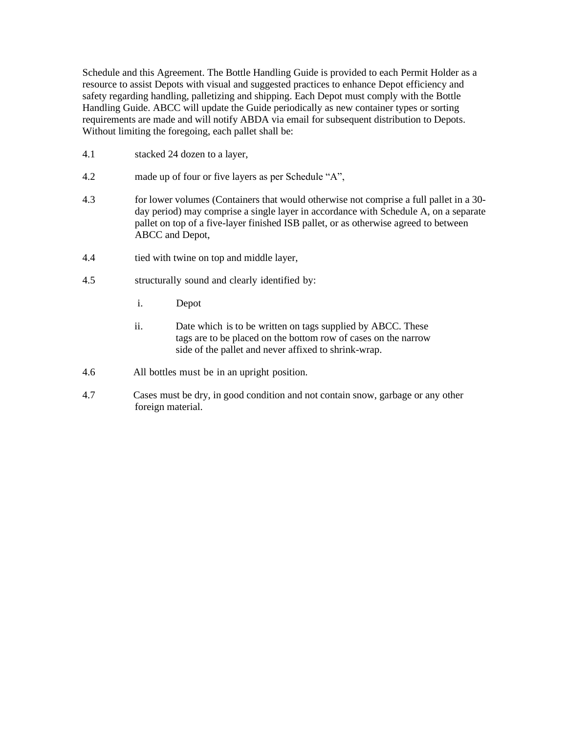Schedule and this Agreement. The Bottle Handling Guide is provided to each Permit Holder as a resource to assist Depots with visual and suggested practices to enhance Depot efficiency and safety regarding handling, palletizing and shipping. Each Depot must comply with the Bottle Handling Guide. ABCC will update the Guide periodically as new container types or sorting requirements are made and will notify ABDA via email for subsequent distribution to Depots. Without limiting the foregoing, each pallet shall be:

- 4.1 stacked 24 dozen to a layer,
- 4.2 made up of four or five layers as per Schedule "A",
- 4.3 for lower volumes (Containers that would otherwise not comprise a full pallet in a 30 day period) may comprise a single layer in accordance with Schedule A, on a separate pallet on top of a five-layer finished ISB pallet, or as otherwise agreed to between ABCC and Depot,
- 4.4 tied with twine on top and middle layer,
- 4.5 structurally sound and clearly identified by:
	- i. Depot
	- ii. Date which is to be written on tags supplied by ABCC. These tags are to be placed on the bottom row of cases on the narrow side of the pallet and never affixed to shrink-wrap.
- 4.6 All bottles must be in an upright position.
- 4.7 Cases must be dry, in good condition and not contain snow, garbage or any other foreign material.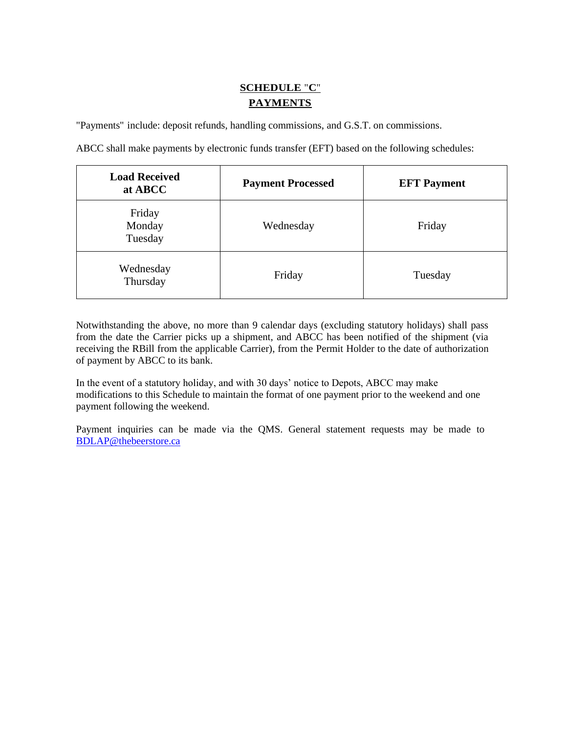# **SCHEDULE** "**C**" **PAYMENTS**

"Payments" include: deposit refunds, handling commissions, and G.S.T. on commissions.

ABCC shall make payments by electronic funds transfer (EFT) based on the following schedules:

| <b>Load Received</b><br>at ABCC | <b>Payment Processed</b> | <b>EFT</b> Payment |
|---------------------------------|--------------------------|--------------------|
| Friday<br>Monday<br>Tuesday     | Wednesday                | Friday             |
| Wednesday<br>Thursday           | Friday                   | Tuesday            |

Notwithstanding the above, no more than 9 calendar days (excluding statutory holidays) shall pass from the date the Carrier picks up a shipment, and ABCC has been notified of the shipment (via receiving the RBill from the applicable Carrier), from the Permit Holder to the date of authorization of payment by ABCC to its bank.

In the event of a statutory holiday, and with 30 days' notice to Depots, ABCC may make modifications to this Schedule to maintain the format of one payment prior to the weekend and one payment following the weekend.

Payment inquiries can be made via the QMS. General statement requests may be made to [BDLAP@thebeerstore.ca](mailto:BDLAP@thebeerstore.ca)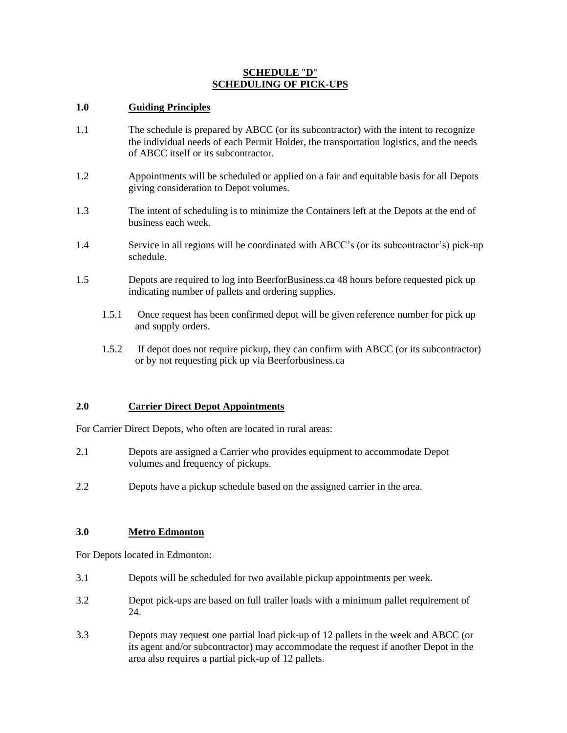### **SCHEDULE** "**D**" **SCHEDULING OF PICK-UPS**

### **1.0 Guiding Principles**

- 1.1 The schedule is prepared by ABCC (or its subcontractor) with the intent to recognize the individual needs of each Permit Holder, the transportation logistics, and the needs of ABCC itself or its subcontractor.
- 1.2 Appointments will be scheduled or applied on a fair and equitable basis for all Depots giving consideration to Depot volumes.
- 1.3 The intent of scheduling is to minimize the Containers left at the Depots at the end of business each week.
- 1.4 Service in all regions will be coordinated with ABCC's (or its subcontractor's) pick-up schedule.
- 1.5 Depots are required to log into BeerforBusiness.ca 48 hours before requested pick up indicating number of pallets and ordering supplies.
	- 1.5.1 Once request has been confirmed depot will be given reference number for pick up and supply orders.
	- 1.5.2 If depot does not require pickup, they can confirm with ABCC (or its subcontractor) or by not requesting pick up via Beerforbusiness.ca

### **2.0 Carrier Direct Depot Appointments**

For Carrier Direct Depots, who often are located in rural areas:

- 2.1 Depots are assigned a Carrier who provides equipment to accommodate Depot volumes and frequency of pickups.
- 2.2 Depots have a pickup schedule based on the assigned carrier in the area.

### **3.0 Metro Edmonton**

For Depots located in Edmonton:

- 3.1 Depots will be scheduled for two available pickup appointments per week.
- 3.2 Depot pick-ups are based on full trailer loads with a minimum pallet requirement of 24.
- 3.3 Depots may request one partial load pick-up of 12 pallets in the week and ABCC (or its agent and/or subcontractor) may accommodate the request if another Depot in the area also requires a partial pick-up of 12 pallets.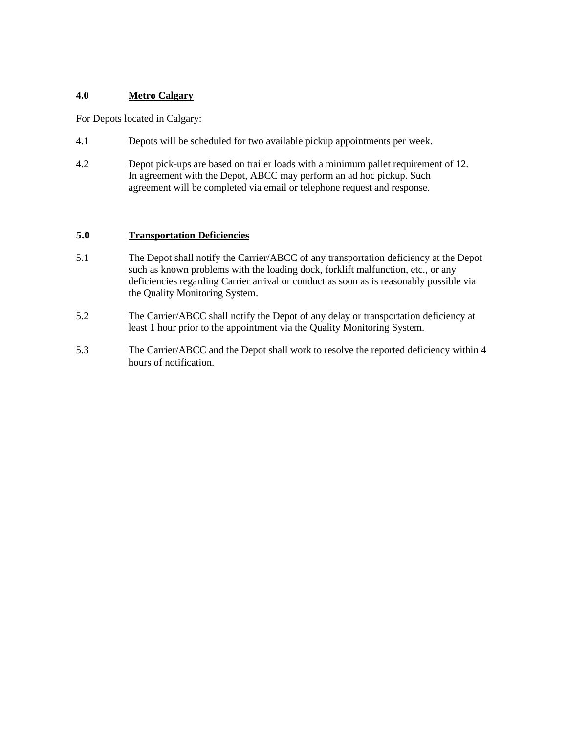### **4.0 Metro Calgary**

For Depots located in Calgary:

- 4.1 Depots will be scheduled for two available pickup appointments per week.
- 4.2 Depot pick-ups are based on trailer loads with a minimum pallet requirement of 12. In agreement with the Depot, ABCC may perform an ad hoc pickup. Such agreement will be completed via email or telephone request and response.

### **5.0 Transportation Deficiencies**

- 5.1 The Depot shall notify the Carrier/ABCC of any transportation deficiency at the Depot such as known problems with the loading dock, forklift malfunction, etc., or any deficiencies regarding Carrier arrival or conduct as soon as is reasonably possible via the Quality Monitoring System.
- 5.2 The Carrier/ABCC shall notify the Depot of any delay or transportation deficiency at least 1 hour prior to the appointment via the Quality Monitoring System.
- 5.3 The Carrier/ABCC and the Depot shall work to resolve the reported deficiency within 4 hours of notification.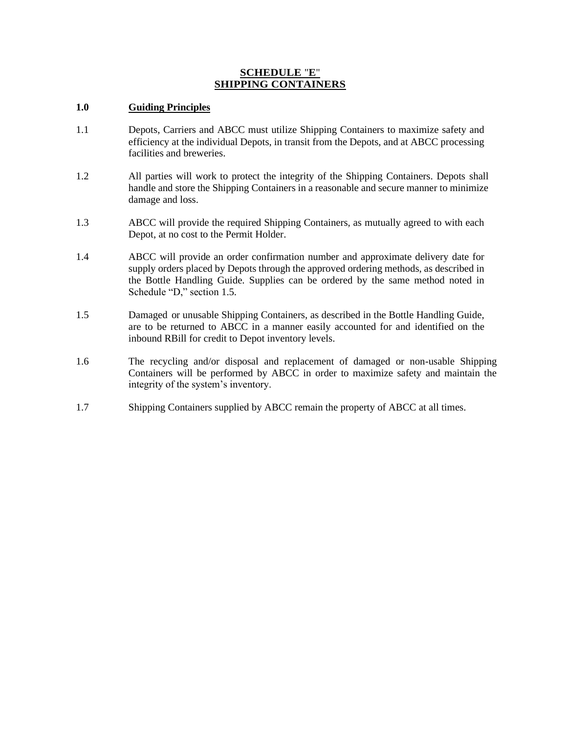### **SCHEDULE** "**E**" **SHIPPING CONTAINERS**

### **1.0 Guiding Principles**

- 1.1 Depots, Carriers and ABCC must utilize Shipping Containers to maximize safety and efficiency at the individual Depots, in transit from the Depots, and at ABCC processing facilities and breweries.
- 1.2 All parties will work to protect the integrity of the Shipping Containers. Depots shall handle and store the Shipping Containers in a reasonable and secure manner to minimize damage and loss.
- 1.3 ABCC will provide the required Shipping Containers, as mutually agreed to with each Depot, at no cost to the Permit Holder.
- 1.4 ABCC will provide an order confirmation number and approximate delivery date for supply orders placed by Depots through the approved ordering methods, as described in the Bottle Handling Guide. Supplies can be ordered by the same method noted in Schedule "D," section 1.5.
- 1.5 Damaged or unusable Shipping Containers, as described in the Bottle Handling Guide, are to be returned to ABCC in a manner easily accounted for and identified on the inbound RBill for credit to Depot inventory levels.
- 1.6 The recycling and/or disposal and replacement of damaged or non-usable Shipping Containers will be performed by ABCC in order to maximize safety and maintain the integrity of the system's inventory.
- 1.7 Shipping Containers supplied by ABCC remain the property of ABCC at all times.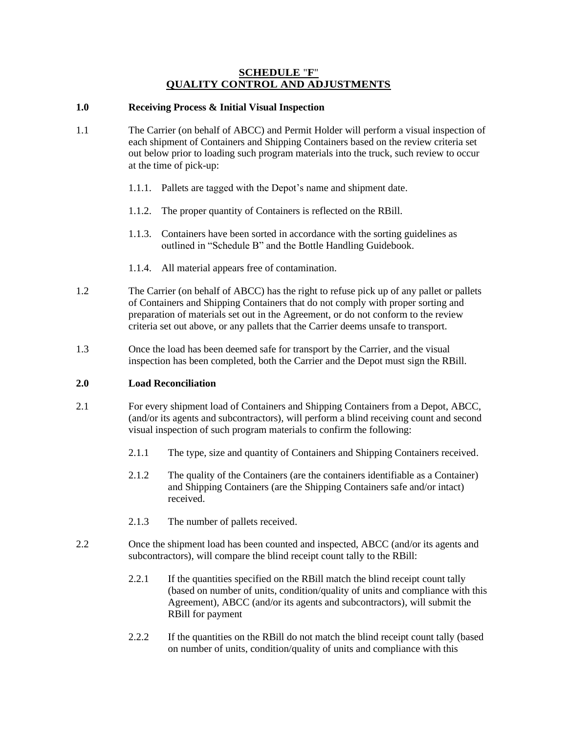### **SCHEDULE** "**F**" **QUALITY CONTROL AND ADJUSTMENTS**

### **1.0 Receiving Process & Initial Visual Inspection**

- 1.1 The Carrier (on behalf of ABCC) and Permit Holder will perform a visual inspection of each shipment of Containers and Shipping Containers based on the review criteria set out below prior to loading such program materials into the truck, such review to occur at the time of pick-up:
	- 1.1.1. Pallets are tagged with the Depot's name and shipment date.
	- 1.1.2. The proper quantity of Containers is reflected on the RBill.
	- 1.1.3. Containers have been sorted in accordance with the sorting guidelines as outlined in "Schedule B" and the Bottle Handling Guidebook.
	- 1.1.4. All material appears free of contamination.
- 1.2 The Carrier (on behalf of ABCC) has the right to refuse pick up of any pallet or pallets of Containers and Shipping Containers that do not comply with proper sorting and preparation of materials set out in the Agreement, or do not conform to the review criteria set out above, or any pallets that the Carrier deems unsafe to transport.
- 1.3 Once the load has been deemed safe for transport by the Carrier, and the visual inspection has been completed, both the Carrier and the Depot must sign the RBill.

### **2.0 Load Reconciliation**

- 2.1 For every shipment load of Containers and Shipping Containers from a Depot, ABCC, (and/or its agents and subcontractors), will perform a blind receiving count and second visual inspection of such program materials to confirm the following:
	- 2.1.1 The type, size and quantity of Containers and Shipping Containers received.
	- 2.1.2 The quality of the Containers (are the containers identifiable as a Container) and Shipping Containers (are the Shipping Containers safe and/or intact) received.
	- 2.1.3 The number of pallets received.
- 2.2 Once the shipment load has been counted and inspected, ABCC (and/or its agents and subcontractors), will compare the blind receipt count tally to the RBill:
	- 2.2.1 If the quantities specified on the RBill match the blind receipt count tally (based on number of units, condition/quality of units and compliance with this Agreement), ABCC (and/or its agents and subcontractors), will submit the RBill for payment
	- 2.2.2 If the quantities on the RBill do not match the blind receipt count tally (based on number of units, condition/quality of units and compliance with this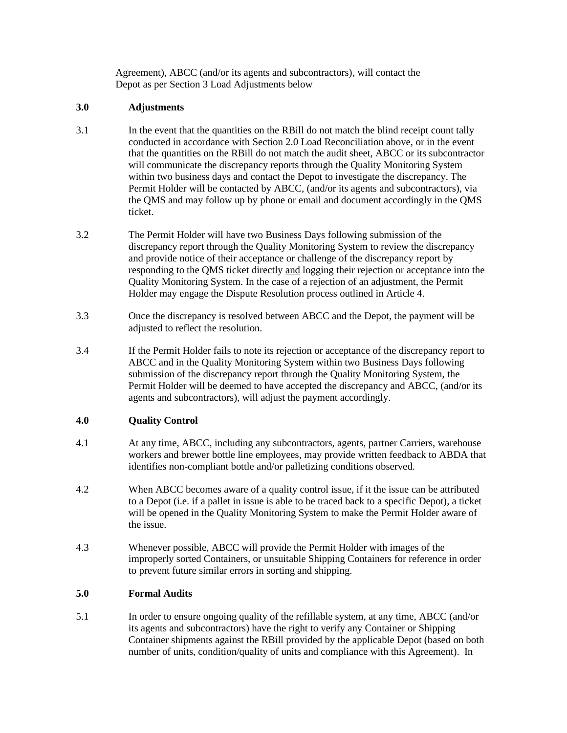Agreement), ABCC (and/or its agents and subcontractors), will contact the Depot as per Section 3 Load Adjustments below

### **3.0 Adjustments**

- 3.1 In the event that the quantities on the RBill do not match the blind receipt count tally conducted in accordance with Section 2.0 Load Reconciliation above, or in the event that the quantities on the RBill do not match the audit sheet, ABCC or its subcontractor will communicate the discrepancy reports through the Quality Monitoring System within two business days and contact the Depot to investigate the discrepancy. The Permit Holder will be contacted by ABCC, (and/or its agents and subcontractors), via the QMS and may follow up by phone or email and document accordingly in the QMS ticket.
- 3.2 The Permit Holder will have two Business Days following submission of the discrepancy report through the Quality Monitoring System to review the discrepancy and provide notice of their acceptance or challenge of the discrepancy report by responding to the QMS ticket directly and logging their rejection or acceptance into the Quality Monitoring System. In the case of a rejection of an adjustment, the Permit Holder may engage the Dispute Resolution process outlined in Article 4.
- 3.3 Once the discrepancy is resolved between ABCC and the Depot, the payment will be adjusted to reflect the resolution.
- 3.4 If the Permit Holder fails to note its rejection or acceptance of the discrepancy report to ABCC and in the Quality Monitoring System within two Business Days following submission of the discrepancy report through the Quality Monitoring System, the Permit Holder will be deemed to have accepted the discrepancy and ABCC, (and/or its agents and subcontractors), will adjust the payment accordingly.

## **4.0 Quality Control**

- 4.1 At any time, ABCC, including any subcontractors, agents, partner Carriers, warehouse workers and brewer bottle line employees, may provide written feedback to ABDA that identifies non-compliant bottle and/or palletizing conditions observed.
- 4.2 When ABCC becomes aware of a quality control issue, if it the issue can be attributed to a Depot (i.e. if a pallet in issue is able to be traced back to a specific Depot), a ticket will be opened in the Quality Monitoring System to make the Permit Holder aware of the issue.
- 4.3 Whenever possible, ABCC will provide the Permit Holder with images of the improperly sorted Containers, or unsuitable Shipping Containers for reference in order to prevent future similar errors in sorting and shipping.

### **5.0 Formal Audits**

5.1 In order to ensure ongoing quality of the refillable system, at any time, ABCC (and/or its agents and subcontractors) have the right to verify any Container or Shipping Container shipments against the RBill provided by the applicable Depot (based on both number of units, condition/quality of units and compliance with this Agreement). In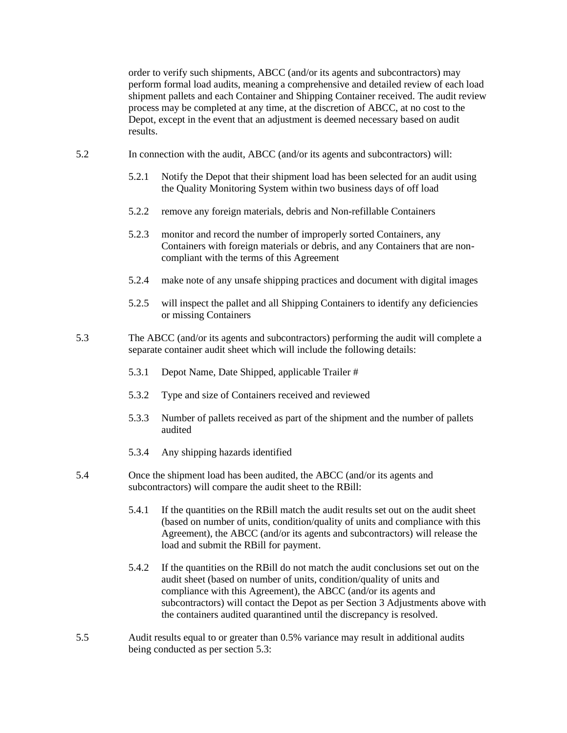order to verify such shipments, ABCC (and/or its agents and subcontractors) may perform formal load audits, meaning a comprehensive and detailed review of each load shipment pallets and each Container and Shipping Container received. The audit review process may be completed at any time, at the discretion of ABCC, at no cost to the Depot, except in the event that an adjustment is deemed necessary based on audit results.

- 5.2 In connection with the audit, ABCC (and/or its agents and subcontractors) will:
	- 5.2.1 Notify the Depot that their shipment load has been selected for an audit using the Quality Monitoring System within two business days of off load
	- 5.2.2 remove any foreign materials, debris and Non-refillable Containers
	- 5.2.3 monitor and record the number of improperly sorted Containers, any Containers with foreign materials or debris, and any Containers that are noncompliant with the terms of this Agreement
	- 5.2.4 make note of any unsafe shipping practices and document with digital images
	- 5.2.5 will inspect the pallet and all Shipping Containers to identify any deficiencies or missing Containers
- 5.3 The ABCC (and/or its agents and subcontractors) performing the audit will complete a separate container audit sheet which will include the following details:
	- 5.3.1 Depot Name, Date Shipped, applicable Trailer #
	- 5.3.2 Type and size of Containers received and reviewed
	- 5.3.3 Number of pallets received as part of the shipment and the number of pallets audited
	- 5.3.4 Any shipping hazards identified
- 5.4 Once the shipment load has been audited, the ABCC (and/or its agents and subcontractors) will compare the audit sheet to the RBill:
	- 5.4.1 If the quantities on the RBill match the audit results set out on the audit sheet (based on number of units, condition/quality of units and compliance with this Agreement), the ABCC (and/or its agents and subcontractors) will release the load and submit the RBill for payment.
	- 5.4.2 If the quantities on the RBill do not match the audit conclusions set out on the audit sheet (based on number of units, condition/quality of units and compliance with this Agreement), the ABCC (and/or its agents and subcontractors) will contact the Depot as per Section 3 Adjustments above with the containers audited quarantined until the discrepancy is resolved.
- 5.5 Audit results equal to or greater than 0.5% variance may result in additional audits being conducted as per section 5.3: